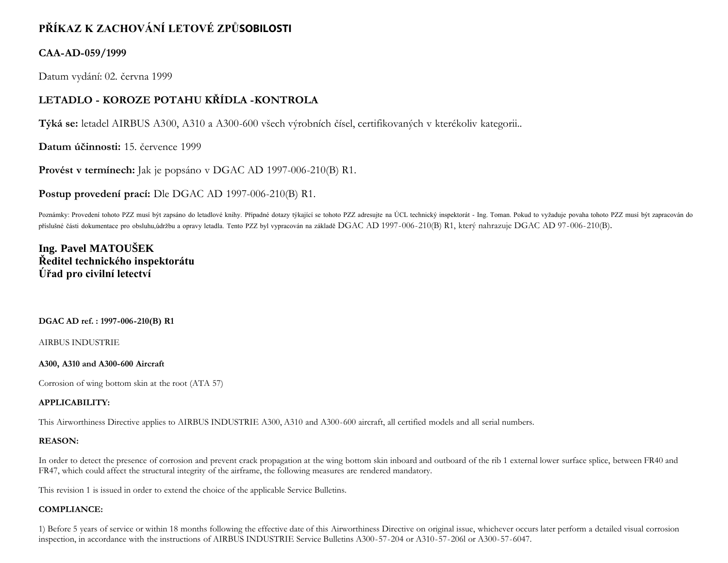# **PŘÍKAZ K ZACHOVÁNÍ LETOVÉ ZPŮSOBILOSTI**

### **CAA-AD-059/1999**

Datum vydání: 02. června 1999

## **LETADLO - KOROZE POTAHU KŘÍDLA -KONTROLA**

**Týká se:** letadel AIRBUS A300, A310 a A300-600 všech výrobních čísel, certifikovaných v kterékoliv kategorii..

**Datum účinnosti:** 15. července 1999

**Provést v termínech:** Jak je popsáno v DGAC AD 1997-006-210(B) R1.

**Postup provedení prací:** Dle DGAC AD 1997-006-210(B) R1.

Poznámky: Provedení tohoto PZZ musí být zapsáno do letadlové knihy. Případné dotazy týkající se tohoto PZZ adresujte na ÚCL technický inspektorát - Ing. Toman. Pokud to vyžaduje povaha tohoto PZZ musí být zapracován do příslušné části dokumentace pro obsluhu,údržbu a opravy letadla. Tento PZZ byl vypracován na základě DGAC AD 1997-006-210(B) R1, který nahrazuje DGAC AD 97-006-210(B).

# **Ing. Pavel MATOUŠEK Ředitel technického inspektorátu Úřad pro civilní letectví**

### **DGAC AD ref. : 1997-006-210(B) R1**

AIRBUS INDUSTRIE

#### **A300, A310 and A300-600 Aircraft**

Corrosion of wing bottom skin at the root (ATA 57)

### **APPLICABILITY:**

This Airworthiness Directive applies to AIRBUS INDUSTRIE A300, A310 and A300-600 aircraft, all certified models and all serial numbers.

### **REASON:**

In order to detect the presence of corrosion and prevent crack propagation at the wing bottom skin inboard and outboard of the rib 1 external lower surface splice, between FR40 and FR47, which could affect the structural integrity of the airframe, the following measures are rendered mandatory.

This revision 1 is issued in order to extend the choice of the applicable Service Bulletins.

### **COMPLIANCE:**

1) Before 5 years of service or within 18 months following the effective date of this Airworthiness Directive on original issue, whichever occurs later perform a detailed visual corrosion inspection, in accordance with the instructions of AIRBUS INDUSTRIE Service Bulletins A300-57-204 or A310-57-206l or A300-57-6047.